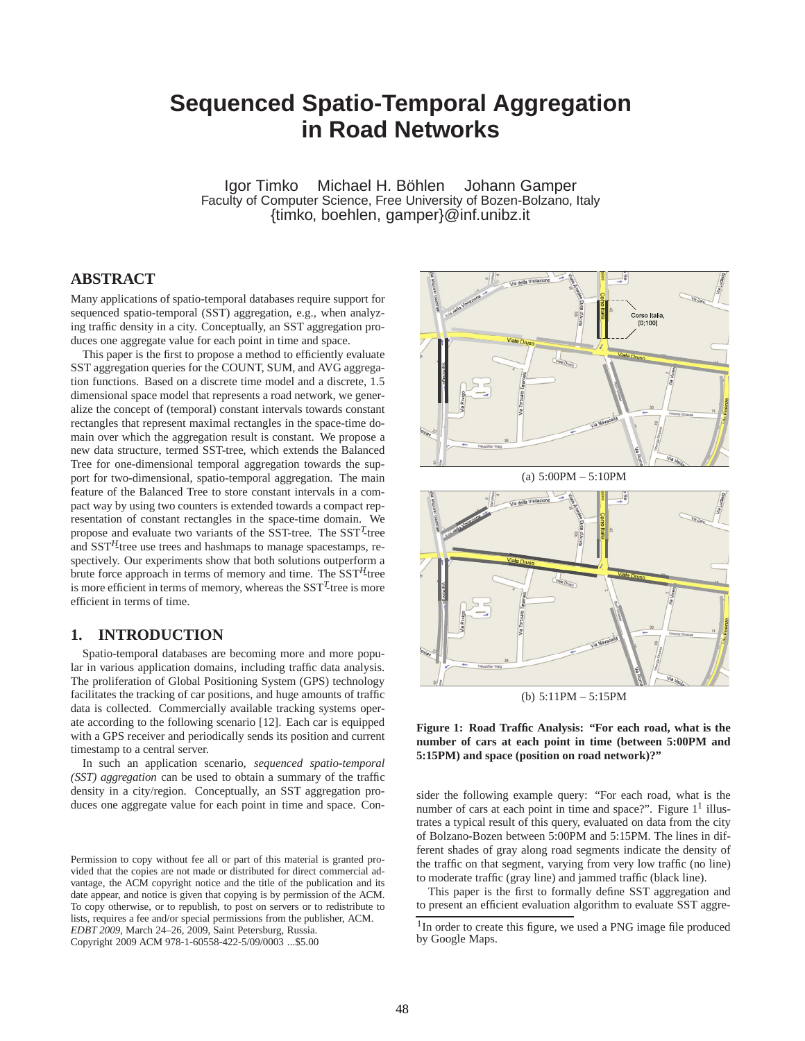# **Sequenced Spatio-Temporal Aggregation in Road Networks**

Igor Timko Michael H. Böhlen Johann Gamper Faculty of Computer Science, Free University of Bozen-Bolzano, Italy {timko, boehlen, gamper}@inf.unibz.it

# **ABSTRACT**

Many applications of spatio-temporal databases require support for sequenced spatio-temporal (SST) aggregation, e.g., when analyzing traffic density in a city. Conceptually, an SST aggregation produces one aggregate value for each point in time and space.

This paper is the first to propose a method to efficiently evaluate SST aggregation queries for the COUNT, SUM, and AVG aggregation functions. Based on a discrete time model and a discrete, 1.5 dimensional space model that represents a road network, we generalize the concept of (temporal) constant intervals towards constant rectangles that represent maximal rectangles in the space-time domain over which the aggregation result is constant. We propose a new data structure, termed SST-tree, which extends the Balanced Tree for one-dimensional temporal aggregation towards the support for two-dimensional, spatio-temporal aggregation. The main feature of the Balanced Tree to store constant intervals in a compact way by using two counters is extended towards a compact representation of constant rectangles in the space-time domain. We propose and evaluate two variants of the SST-tree. The SST<sup>T</sup>-tree and SST*H*-tree use trees and hashmaps to manage spacestamps, respectively. Our experiments show that both solutions outperform a brute force approach in terms of memory and time. The SST*H*-tree is more efficient in terms of memory, whereas the SST*<sup>T</sup>* -tree is more efficient in terms of time.

# **1. INTRODUCTION**

Spatio-temporal databases are becoming more and more popular in various application domains, including traffic data analysis. The proliferation of Global Positioning System (GPS) technology facilitates the tracking of car positions, and huge amounts of traffic data is collected. Commercially available tracking systems operate according to the following scenario [12]. Each car is equipped with a GPS receiver and periodically sends its position and current timestamp to a central server.

In such an application scenario, *sequenced spatio-temporal (SST) aggregation* can be used to obtain a summary of the traffic density in a city/region. Conceptually, an SST aggregation produces one aggregate value for each point in time and space. Con-





(b) 5:11PM – 5:15PM

**Figure 1: Road Traffic Analysis: "For each road, what is the number of cars at each point in time (between 5:00PM and 5:15PM) and space (position on road network)?"**

sider the following example query: "For each road, what is the number of cars at each point in time and space?". Figure  $1<sup>1</sup>$  illustrates a typical result of this query, evaluated on data from the city of Bolzano-Bozen between 5:00PM and 5:15PM. The lines in different shades of gray along road segments indicate the density of the traffic on that segment, varying from very low traffic (no line) to moderate traffic (gray line) and jammed traffic (black line).

This paper is the first to formally define SST aggregation and to present an efficient evaluation algorithm to evaluate SST aggre-

Permission to copy without fee all or part of this material is granted provided that the copies are not made or distributed for direct commercial advantage, the ACM copyright notice and the title of the publication and its date appear, and notice is given that copying is by permission of the ACM. To copy otherwise, or to republish, to post on servers or to redistribute to lists, requires a fee and/or special permissions from the publisher, ACM. *EDBT 2009*, March 24–26, 2009, Saint Petersburg, Russia. Copyright 2009 ACM 978-1-60558-422-5/09/0003 ...\$5.00

<sup>&</sup>lt;sup>1</sup>In order to create this figure, we used a PNG image file produced by Google Maps.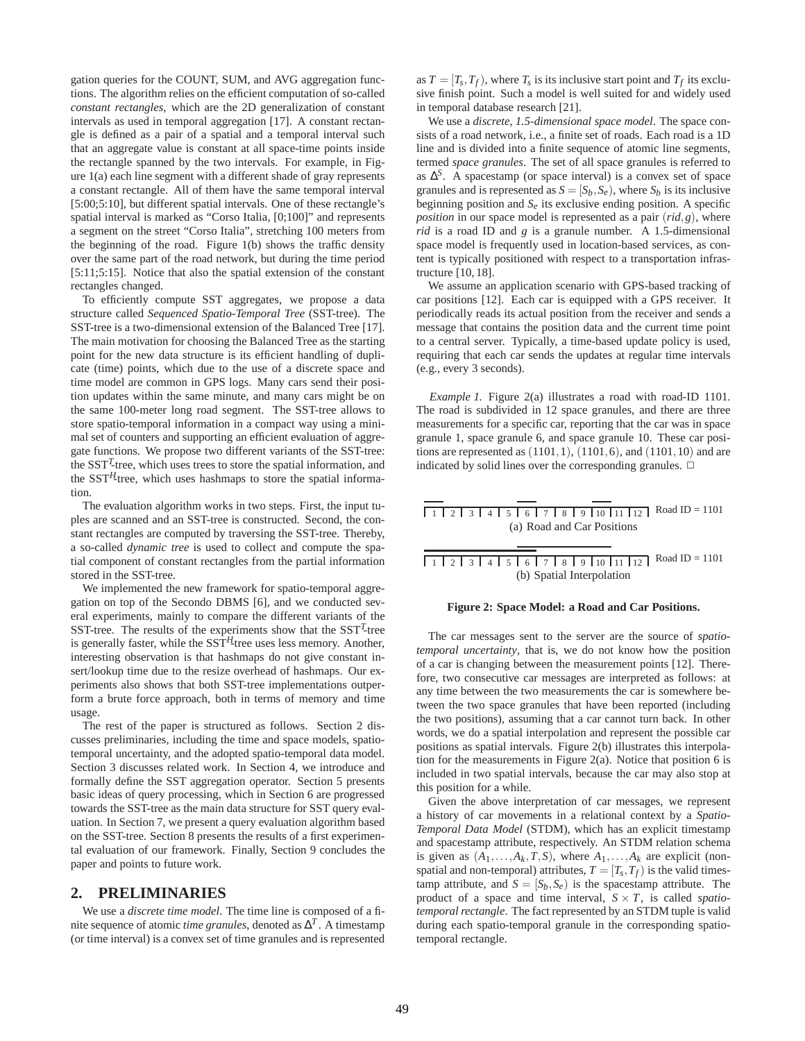gation queries for the COUNT, SUM, and AVG aggregation functions. The algorithm relies on the efficient computation of so-called *constant rectangles*, which are the 2D generalization of constant intervals as used in temporal aggregation [17]. A constant rectangle is defined as a pair of a spatial and a temporal interval such that an aggregate value is constant at all space-time points inside the rectangle spanned by the two intervals. For example, in Figure 1(a) each line segment with a different shade of gray represents a constant rectangle. All of them have the same temporal interval [5:00;5:10], but different spatial intervals. One of these rectangle's spatial interval is marked as "Corso Italia, [0;100]" and represents a segment on the street "Corso Italia", stretching 100 meters from the beginning of the road. Figure 1(b) shows the traffic density over the same part of the road network, but during the time period [5:11;5:15]. Notice that also the spatial extension of the constant rectangles changed.

To efficiently compute SST aggregates, we propose a data structure called *Sequenced Spatio-Temporal Tree* (SST-tree). The SST-tree is a two-dimensional extension of the Balanced Tree [17]. The main motivation for choosing the Balanced Tree as the starting point for the new data structure is its efficient handling of duplicate (time) points, which due to the use of a discrete space and time model are common in GPS logs. Many cars send their position updates within the same minute, and many cars might be on the same 100-meter long road segment. The SST-tree allows to store spatio-temporal information in a compact way using a minimal set of counters and supporting an efficient evaluation of aggregate functions. We propose two different variants of the SST-tree: the SST*<sup>T</sup>* -tree, which uses trees to store the spatial information, and the  $SST<sup>H</sup>$ -tree, which uses hashmaps to store the spatial information.

The evaluation algorithm works in two steps. First, the input tuples are scanned and an SST-tree is constructed. Second, the constant rectangles are computed by traversing the SST-tree. Thereby, a so-called *dynamic tree* is used to collect and compute the spatial component of constant rectangles from the partial information stored in the SST-tree.

We implemented the new framework for spatio-temporal aggregation on top of the Secondo DBMS [6], and we conducted several experiments, mainly to compare the different variants of the SST-tree. The results of the experiments show that the SST*<sup>T</sup>* -tree is generally faster, while the  $SST<sup>H</sup>$ -tree uses less memory. Another, interesting observation is that hashmaps do not give constant insert/lookup time due to the resize overhead of hashmaps. Our experiments also shows that both SST-tree implementations outperform a brute force approach, both in terms of memory and time usage.

The rest of the paper is structured as follows. Section 2 discusses preliminaries, including the time and space models, spatiotemporal uncertainty, and the adopted spatio-temporal data model. Section 3 discusses related work. In Section 4, we introduce and formally define the SST aggregation operator. Section 5 presents basic ideas of query processing, which in Section 6 are progressed towards the SST-tree as the main data structure for SST query evaluation. In Section 7, we present a query evaluation algorithm based on the SST-tree. Section 8 presents the results of a first experimental evaluation of our framework. Finally, Section 9 concludes the paper and points to future work.

## **2. PRELIMINARIES**

We use a *discrete time model*. The time line is composed of a finite sequence of atomic *time granules*, denoted as  $\Delta^T$ . A timestamp (or time interval) is a convex set of time granules and is represented

as  $T = [T_s, T_f)$ , where  $T_s$  is its inclusive start point and  $T_f$  its exclusive finish point. Such a model is well suited for and widely used in temporal database research [21].

We use a *discrete, 1.5-dimensional space model*. The space consists of a road network, i.e., a finite set of roads. Each road is a 1D line and is divided into a finite sequence of atomic line segments, termed *space granules*. The set of all space granules is referred to as  $\Delta^{S}$ . A spacestamp (or space interval) is a convex set of space granules and is represented as  $S = [S_h, S_e)$ , where  $S_h$  is its inclusive beginning position and  $S_e$  its exclusive ending position. A specific *position* in our space model is represented as a pair (*rid*,*g*), where *rid* is a road ID and *g* is a granule number. A 1.5-dimensional space model is frequently used in location-based services, as content is typically positioned with respect to a transportation infrastructure [10, 18].

We assume an application scenario with GPS-based tracking of car positions [12]. Each car is equipped with a GPS receiver. It periodically reads its actual position from the receiver and sends a message that contains the position data and the current time point to a central server. Typically, a time-based update policy is used, requiring that each car sends the updates at regular time intervals (e.g., every 3 seconds).

*Example 1.* Figure 2(a) illustrates a road with road-ID 1101. The road is subdivided in 12 space granules, and there are three measurements for a specific car, reporting that the car was in space granule 1, space granule 6, and space granule 10. These car positions are represented as  $(1101, 1)$ ,  $(1101, 6)$ , and  $(1101, 10)$  and are indicated by solid lines over the corresponding granules.  $\Box$ 

Road ID = 1101 1 2 3 4 5 6 7 8 9 10 11 12 (a) Road and Car Positions

Road ID = 1101 1 2 3 4 5 6 7 8 9 10 11 12 (b) Spatial Interpolation

#### **Figure 2: Space Model: a Road and Car Positions.**

The car messages sent to the server are the source of *spatiotemporal uncertainty*, that is, we do not know how the position of a car is changing between the measurement points [12]. Therefore, two consecutive car messages are interpreted as follows: at any time between the two measurements the car is somewhere between the two space granules that have been reported (including the two positions), assuming that a car cannot turn back. In other words, we do a spatial interpolation and represent the possible car positions as spatial intervals. Figure 2(b) illustrates this interpolation for the measurements in Figure 2(a). Notice that position 6 is included in two spatial intervals, because the car may also stop at this position for a while.

Given the above interpretation of car messages, we represent a history of car movements in a relational context by a *Spatio-Temporal Data Model* (STDM), which has an explicit timestamp and spacestamp attribute, respectively. An STDM relation schema is given as  $(A_1, \ldots, A_k, T, S)$ , where  $A_1, \ldots, A_k$  are explicit (nonspatial and non-temporal) attributes,  $T = [T_s, T_f)$  is the valid timestamp attribute, and  $S = [S_h, S_e]$  is the spacestamp attribute. The product of a space and time interval,  $S \times T$ , is called *spatiotemporal rectangle*. The fact represented by an STDM tuple is valid during each spatio-temporal granule in the corresponding spatiotemporal rectangle.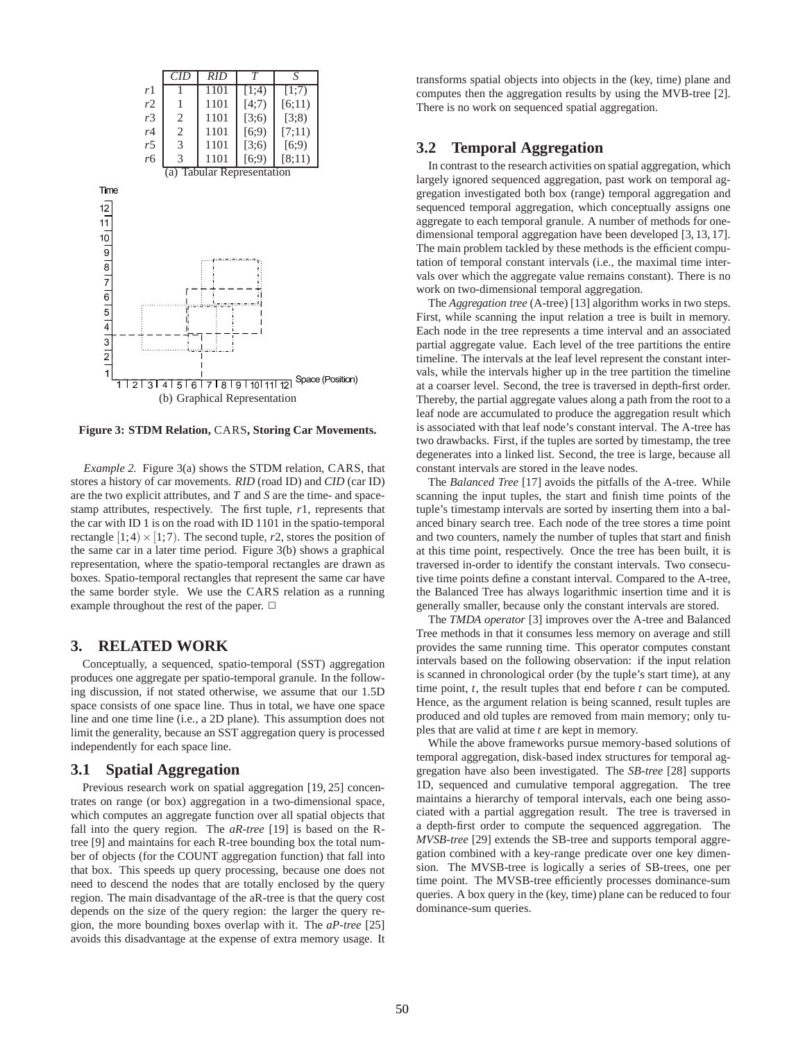

**Figure 3: STDM Relation,** CARS**, Storing Car Movements.**

*Example 2.* Figure 3(a) shows the STDM relation, CARS, that stores a history of car movements. *RID* (road ID) and *CID* (car ID) are the two explicit attributes, and *T* and *S* are the time- and spacestamp attributes, respectively. The first tuple, *r*1, represents that the car with ID 1 is on the road with ID 1101 in the spatio-temporal rectangle  $[1;4] \times [1;7)$ . The second tuple, *r*2, stores the position of the same car in a later time period. Figure 3(b) shows a graphical representation, where the spatio-temporal rectangles are drawn as boxes. Spatio-temporal rectangles that represent the same car have the same border style. We use the CARS relation as a running example throughout the rest of the paper.  $\Box$ 

## **3. RELATED WORK**

Conceptually, a sequenced, spatio-temporal (SST) aggregation produces one aggregate per spatio-temporal granule. In the following discussion, if not stated otherwise, we assume that our 1.5D space consists of one space line. Thus in total, we have one space line and one time line (i.e., a 2D plane). This assumption does not limit the generality, because an SST aggregation query is processed independently for each space line.

#### **3.1 Spatial Aggregation**

Previous research work on spatial aggregation [19, 25] concentrates on range (or box) aggregation in a two-dimensional space, which computes an aggregate function over all spatial objects that fall into the query region. The *aR-tree* [19] is based on the Rtree [9] and maintains for each R-tree bounding box the total number of objects (for the COUNT aggregation function) that fall into that box. This speeds up query processing, because one does not need to descend the nodes that are totally enclosed by the query region. The main disadvantage of the aR-tree is that the query cost depends on the size of the query region: the larger the query region, the more bounding boxes overlap with it. The *aP-tree* [25] avoids this disadvantage at the expense of extra memory usage. It transforms spatial objects into objects in the (key, time) plane and computes then the aggregation results by using the MVB-tree [2]. There is no work on sequenced spatial aggregation.

## **3.2 Temporal Aggregation**

In contrast to the research activities on spatial aggregation, which largely ignored sequenced aggregation, past work on temporal aggregation investigated both box (range) temporal aggregation and sequenced temporal aggregation, which conceptually assigns one aggregate to each temporal granule. A number of methods for onedimensional temporal aggregation have been developed [3, 13, 17]. The main problem tackled by these methods is the efficient computation of temporal constant intervals (i.e., the maximal time intervals over which the aggregate value remains constant). There is no work on two-dimensional temporal aggregation.

The *Aggregation tree* (A-tree) [13] algorithm works in two steps. First, while scanning the input relation a tree is built in memory. Each node in the tree represents a time interval and an associated partial aggregate value. Each level of the tree partitions the entire timeline. The intervals at the leaf level represent the constant intervals, while the intervals higher up in the tree partition the timeline at a coarser level. Second, the tree is traversed in depth-first order. Thereby, the partial aggregate values along a path from the root to a leaf node are accumulated to produce the aggregation result which is associated with that leaf node's constant interval. The A-tree has two drawbacks. First, if the tuples are sorted by timestamp, the tree degenerates into a linked list. Second, the tree is large, because all constant intervals are stored in the leave nodes.

The *Balanced Tree* [17] avoids the pitfalls of the A-tree. While scanning the input tuples, the start and finish time points of the tuple's timestamp intervals are sorted by inserting them into a balanced binary search tree. Each node of the tree stores a time point and two counters, namely the number of tuples that start and finish at this time point, respectively. Once the tree has been built, it is traversed in-order to identify the constant intervals. Two consecutive time points define a constant interval. Compared to the A-tree, the Balanced Tree has always logarithmic insertion time and it is generally smaller, because only the constant intervals are stored.

The *TMDA operator* [3] improves over the A-tree and Balanced Tree methods in that it consumes less memory on average and still provides the same running time. This operator computes constant intervals based on the following observation: if the input relation is scanned in chronological order (by the tuple's start time), at any time point, *t*, the result tuples that end before *t* can be computed. Hence, as the argument relation is being scanned, result tuples are produced and old tuples are removed from main memory; only tuples that are valid at time *t* are kept in memory.

While the above frameworks pursue memory-based solutions of temporal aggregation, disk-based index structures for temporal aggregation have also been investigated. The *SB-tree* [28] supports 1D, sequenced and cumulative temporal aggregation. The tree maintains a hierarchy of temporal intervals, each one being associated with a partial aggregation result. The tree is traversed in a depth-first order to compute the sequenced aggregation. The *MVSB-tree* [29] extends the SB-tree and supports temporal aggregation combined with a key-range predicate over one key dimension. The MVSB-tree is logically a series of SB-trees, one per time point. The MVSB-tree efficiently processes dominance-sum queries. A box query in the (key, time) plane can be reduced to four dominance-sum queries.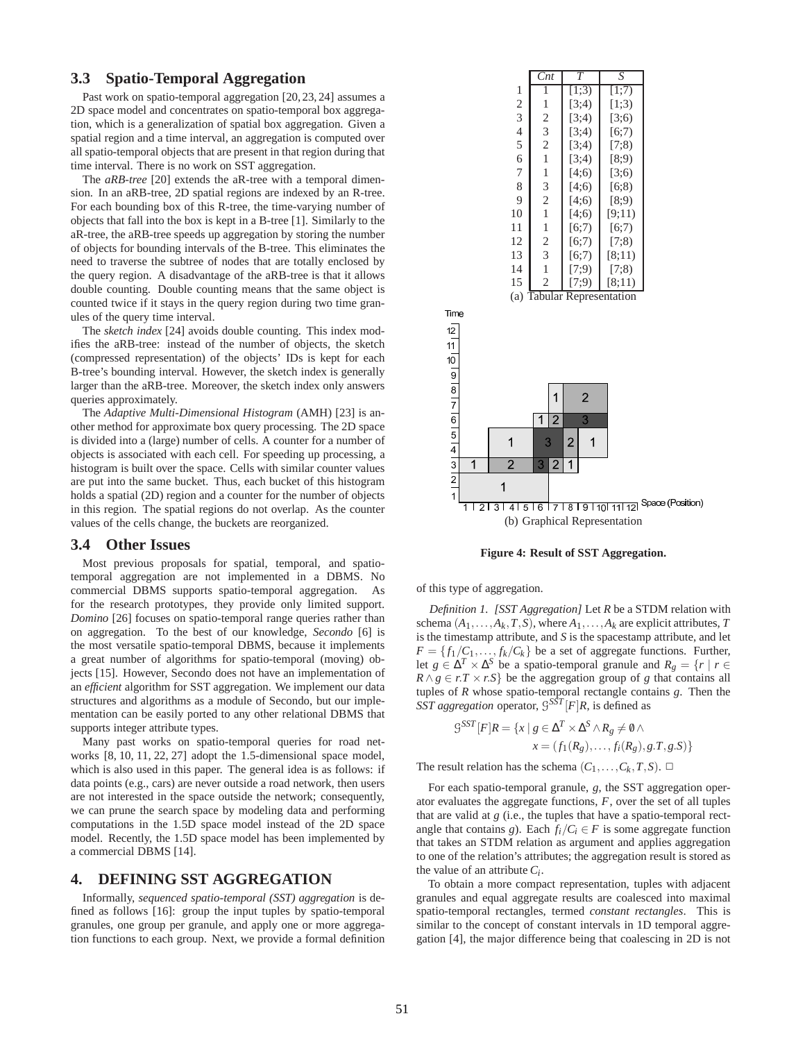## **3.3 Spatio-Temporal Aggregation**

Past work on spatio-temporal aggregation [20, 23, 24] assumes a 2D space model and concentrates on spatio-temporal box aggregation, which is a generalization of spatial box aggregation. Given a spatial region and a time interval, an aggregation is computed over all spatio-temporal objects that are present in that region during that time interval. There is no work on SST aggregation.

The *aRB-tree* [20] extends the aR-tree with a temporal dimension. In an aRB-tree, 2D spatial regions are indexed by an R-tree. For each bounding box of this R-tree, the time-varying number of objects that fall into the box is kept in a B-tree [1]. Similarly to the aR-tree, the aRB-tree speeds up aggregation by storing the number of objects for bounding intervals of the B-tree. This eliminates the need to traverse the subtree of nodes that are totally enclosed by the query region. A disadvantage of the aRB-tree is that it allows double counting. Double counting means that the same object is counted twice if it stays in the query region during two time granules of the query time interval.

The *sketch index* [24] avoids double counting. This index modifies the aRB-tree: instead of the number of objects, the sketch (compressed representation) of the objects' IDs is kept for each B-tree's bounding interval. However, the sketch index is generally larger than the aRB-tree. Moreover, the sketch index only answers queries approximately.

The *Adaptive Multi-Dimensional Histogram* (AMH) [23] is another method for approximate box query processing. The 2D space is divided into a (large) number of cells. A counter for a number of objects is associated with each cell. For speeding up processing, a histogram is built over the space. Cells with similar counter values are put into the same bucket. Thus, each bucket of this histogram holds a spatial (2D) region and a counter for the number of objects in this region. The spatial regions do not overlap. As the counter values of the cells change, the buckets are reorganized.

#### **3.4 Other Issues**

Most previous proposals for spatial, temporal, and spatiotemporal aggregation are not implemented in a DBMS. No commercial DBMS supports spatio-temporal aggregation. As for the research prototypes, they provide only limited support. *Domino* [26] focuses on spatio-temporal range queries rather than on aggregation. To the best of our knowledge, *Secondo* [6] is the most versatile spatio-temporal DBMS, because it implements a great number of algorithms for spatio-temporal (moving) objects [15]. However, Secondo does not have an implementation of an *efficient* algorithm for SST aggregation. We implement our data structures and algorithms as a module of Secondo, but our implementation can be easily ported to any other relational DBMS that supports integer attribute types.

Many past works on spatio-temporal queries for road networks [8, 10, 11, 22, 27] adopt the 1.5-dimensional space model, which is also used in this paper. The general idea is as follows: if data points (e.g., cars) are never outside a road network, then users are not interested in the space outside the network; consequently, we can prune the search space by modeling data and performing computations in the 1.5D space model instead of the 2D space model. Recently, the 1.5D space model has been implemented by a commercial DBMS [14].

## **4. DEFINING SST AGGREGATION**

Informally, *sequenced spatio-temporal (SST) aggregation* is defined as follows [16]: group the input tuples by spatio-temporal granules, one group per granule, and apply one or more aggregation functions to each group. Next, we provide a formal definition

|                                      | Cnt            | $\tau$ | S      |
|--------------------------------------|----------------|--------|--------|
| 1                                    | 1              | [1;3)  | [1;7)  |
| $\overline{c}$                       | 1              | [3;4)  | [1;3)  |
| $\overline{3}$                       | $\overline{2}$ | [3;4)  | [3;6)  |
| $\overline{4}$                       | 3              | [3:4)  | [6;7)  |
| 5                                    | $\overline{2}$ | [3;4)  | (7;8)  |
| 6                                    | 1              | [3:4)  | [8;9)  |
| 7                                    | 1              | [4;6)  | [3:6]  |
| 8                                    | 3              | [4;6)  | [6:8)  |
| 9                                    | $\overline{2}$ | [4;6)  | [8:9)  |
| 10                                   | 1              | [4;6)  | [9;11) |
| 11                                   | 1              | [6;7)  | [6:7)  |
| 12                                   | $\mathfrak{2}$ | [6;7)  | (7;8)  |
| 13                                   | 3              | [6;7)  | [8:11) |
| 14                                   | 1              | (7;9)  | (7;8)  |
| 15                                   | $\overline{c}$ | (7;9)  | [8;11) |
| <b>Tabular Representation</b><br>(a) |                |        |        |
|                                      |                |        |        |
|                                      |                |        |        |



**Figure 4: Result of SST Aggregation.**

of this type of aggregation.

Time

*Definition 1. [SST Aggregation]* Let *R* be a STDM relation with schema  $(A_1, \ldots, A_k, T, S)$ , where  $A_1, \ldots, A_k$  are explicit attributes, *T* is the timestamp attribute, and *S* is the spacestamp attribute, and let  $F = \{f_1/C_1, \ldots, f_k/C_k\}$  be a set of aggregate functions. Further, let  $g \in \Delta^T \times \Delta^S$  be a spatio-temporal granule and  $R_g = \{r \mid r \in$  $R \wedge g \in r$ .*T* × *r*.*S*} be the aggregation group of *g* that contains all tuples of *R* whose spatio-temporal rectangle contains *g*. Then the *SST aggregation* operator,  $S^{SST}[F]R$ , is defined as

$$
G^{SST}[F]R = \{x \mid g \in \Delta^T \times \Delta^S \wedge R_g \neq \emptyset \wedge
$$
  

$$
x = (f_1(R_g), \dots, f_i(R_g), g.T, g.S)\}
$$

The result relation has the schema  $(C_1, \ldots, C_k, T, S)$ .  $\Box$ 

For each spatio-temporal granule, *g*, the SST aggregation operator evaluates the aggregate functions, *F*, over the set of all tuples that are valid at *g* (i.e., the tuples that have a spatio-temporal rectangle that contains *g*). Each  $f_i/C_i \in F$  is some aggregate function that takes an STDM relation as argument and applies aggregation to one of the relation's attributes; the aggregation result is stored as the value of an attribute *C<sup>i</sup>* .

To obtain a more compact representation, tuples with adjacent granules and equal aggregate results are coalesced into maximal spatio-temporal rectangles, termed *constant rectangles*. This is similar to the concept of constant intervals in 1D temporal aggregation [4], the major difference being that coalescing in 2D is not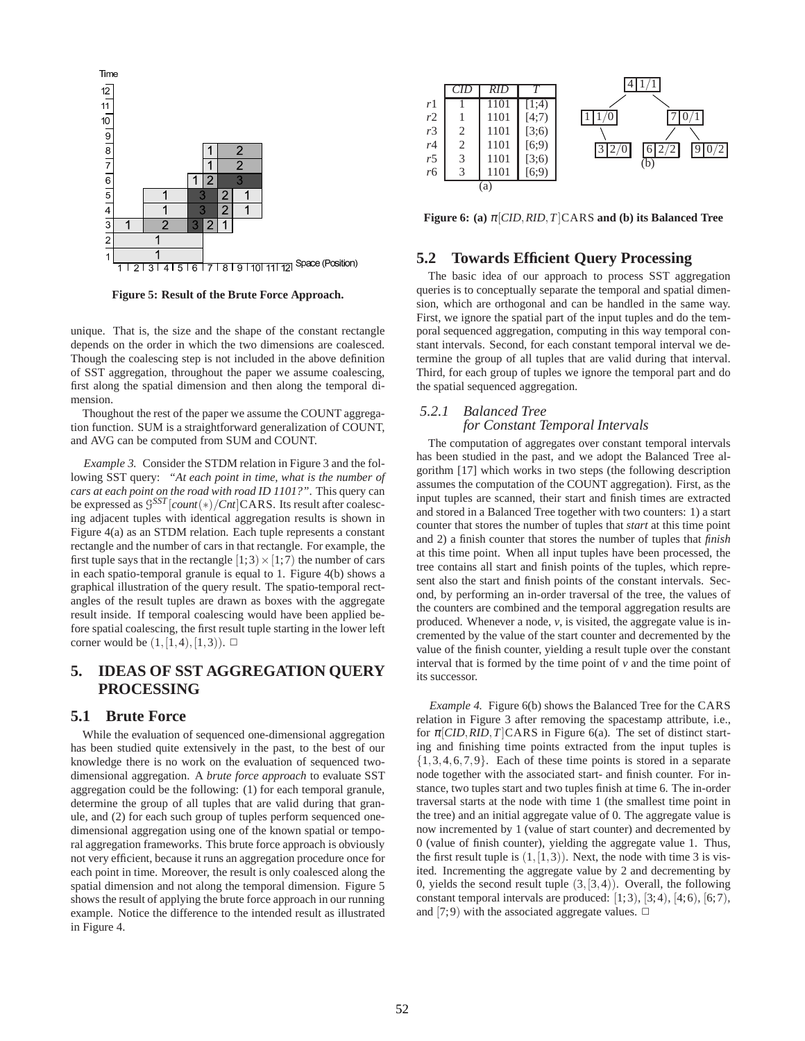

**Figure 5: Result of the Brute Force Approach.**

unique. That is, the size and the shape of the constant rectangle depends on the order in which the two dimensions are coalesced. Though the coalescing step is not included in the above definition of SST aggregation, throughout the paper we assume coalescing, first along the spatial dimension and then along the temporal dimension.

Thoughout the rest of the paper we assume the COUNT aggregation function. SUM is a straightforward generalization of COUNT, and AVG can be computed from SUM and COUNT.

*Example 3.* Consider the STDM relation in Figure 3 and the following SST query: *"At each point in time, what is the number of cars at each point on the road with road ID 1101?"*. This query can be expressed as G *SST* [*count*(∗)/*Cnt*]CARS. Its result after coalescing adjacent tuples with identical aggregation results is shown in Figure 4(a) as an STDM relation. Each tuple represents a constant rectangle and the number of cars in that rectangle. For example, the first tuple says that in the rectangle  $[1;3) \times [1;7)$  the number of cars in each spatio-temporal granule is equal to 1. Figure 4(b) shows a graphical illustration of the query result. The spatio-temporal rectangles of the result tuples are drawn as boxes with the aggregate result inside. If temporal coalescing would have been applied before spatial coalescing, the first result tuple starting in the lower left corner would be  $(1,[1,4),[1,3))$ .  $\Box$ 

# **5. IDEAS OF SST AGGREGATION QUERY PROCESSING**

## **5.1 Brute Force**

While the evaluation of sequenced one-dimensional aggregation has been studied quite extensively in the past, to the best of our knowledge there is no work on the evaluation of sequenced twodimensional aggregation. A *brute force approach* to evaluate SST aggregation could be the following: (1) for each temporal granule, determine the group of all tuples that are valid during that granule, and (2) for each such group of tuples perform sequenced onedimensional aggregation using one of the known spatial or temporal aggregation frameworks. This brute force approach is obviously not very efficient, because it runs an aggregation procedure once for each point in time. Moreover, the result is only coalesced along the spatial dimension and not along the temporal dimension. Figure 5 shows the result of applying the brute force approach in our running example. Notice the difference to the intended result as illustrated in Figure 4.



**Figure 6: (a)** <sup>π</sup>[*CID*,*RID*,*T*]CARS **and (b) its Balanced Tree**

## **5.2 Towards Efficient Query Processing**

The basic idea of our approach to process SST aggregation queries is to conceptually separate the temporal and spatial dimension, which are orthogonal and can be handled in the same way. First, we ignore the spatial part of the input tuples and do the temporal sequenced aggregation, computing in this way temporal constant intervals. Second, for each constant temporal interval we determine the group of all tuples that are valid during that interval. Third, for each group of tuples we ignore the temporal part and do the spatial sequenced aggregation.

## *5.2.1 Balanced Tree for Constant Temporal Intervals*

The computation of aggregates over constant temporal intervals has been studied in the past, and we adopt the Balanced Tree algorithm [17] which works in two steps (the following description assumes the computation of the COUNT aggregation). First, as the input tuples are scanned, their start and finish times are extracted and stored in a Balanced Tree together with two counters: 1) a start counter that stores the number of tuples that *start* at this time point and 2) a finish counter that stores the number of tuples that *finish* at this time point. When all input tuples have been processed, the tree contains all start and finish points of the tuples, which represent also the start and finish points of the constant intervals. Second, by performing an in-order traversal of the tree, the values of the counters are combined and the temporal aggregation results are produced. Whenever a node, *v*, is visited, the aggregate value is incremented by the value of the start counter and decremented by the value of the finish counter, yielding a result tuple over the constant interval that is formed by the time point of  $\nu$  and the time point of its successor.

*Example 4.* Figure 6(b) shows the Balanced Tree for the CARS relation in Figure 3 after removing the spacestamp attribute, i.e., for  $\pi$ [*CID*,*RID*,*T*]CARS in Figure 6(a). The set of distinct starting and finishing time points extracted from the input tuples is  $\{1,3,4,6,7,9\}$ . Each of these time points is stored in a separate node together with the associated start- and finish counter. For instance, two tuples start and two tuples finish at time 6. The in-order traversal starts at the node with time 1 (the smallest time point in the tree) and an initial aggregate value of 0. The aggregate value is now incremented by 1 (value of start counter) and decremented by 0 (value of finish counter), yielding the aggregate value 1. Thus, the first result tuple is  $(1, [1,3])$ . Next, the node with time 3 is visited. Incrementing the aggregate value by 2 and decrementing by 0, yields the second result tuple  $(3, [3,4))$ . Overall, the following constant temporal intervals are produced:  $[1;3)$ ,  $[3;4)$ ,  $[4;6)$ ,  $[6;7)$ , and [7;9) with the associated aggregate values.  $\Box$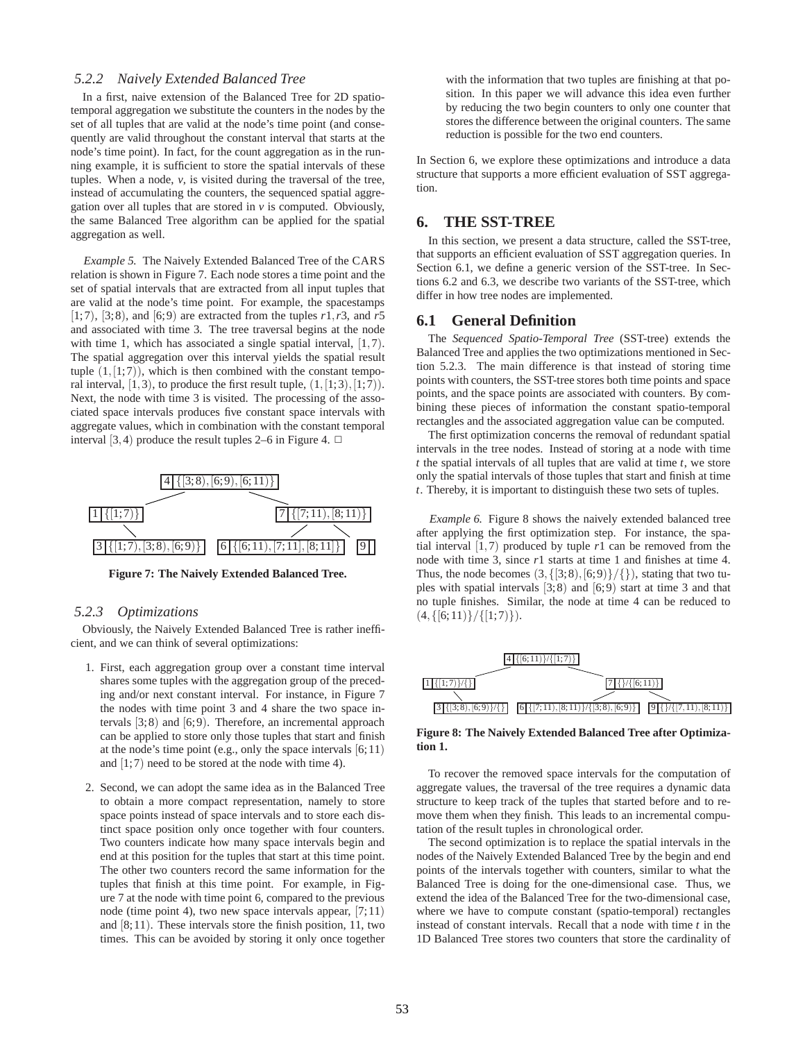## *5.2.2 Naively Extended Balanced Tree*

In a first, naive extension of the Balanced Tree for 2D spatiotemporal aggregation we substitute the counters in the nodes by the set of all tuples that are valid at the node's time point (and consequently are valid throughout the constant interval that starts at the node's time point). In fact, for the count aggregation as in the running example, it is sufficient to store the spatial intervals of these tuples. When a node, *v*, is visited during the traversal of the tree, instead of accumulating the counters, the sequenced spatial aggregation over all tuples that are stored in  $\nu$  is computed. Obviously, the same Balanced Tree algorithm can be applied for the spatial aggregation as well.

*Example 5.* The Naively Extended Balanced Tree of the CARS relation is shown in Figure 7. Each node stores a time point and the set of spatial intervals that are extracted from all input tuples that are valid at the node's time point. For example, the spacestamps  $[1;7)$ ,  $[3;8)$ , and  $[6;9)$  are extracted from the tuples  $r1, r3$ , and  $r5$ and associated with time 3. The tree traversal begins at the node with time 1, which has associated a single spatial interval, [1,7]. The spatial aggregation over this interval yields the spatial result tuple  $(1, [1, 7))$ , which is then combined with the constant temporal interval,  $[1,3)$ , to produce the first result tuple,  $(1, [1;3), [1;7))$ . Next, the node with time 3 is visited. The processing of the associated space intervals produces five constant space intervals with aggregate values, which in combination with the constant temporal interval [3, 4) produce the result tuples 2–6 in Figure 4.  $\Box$ 



**Figure 7: The Naively Extended Balanced Tree.**

## *5.2.3 Optimizations*

Obviously, the Naively Extended Balanced Tree is rather inefficient, and we can think of several optimizations:

- 1. First, each aggregation group over a constant time interval shares some tuples with the aggregation group of the preceding and/or next constant interval. For instance, in Figure 7 the nodes with time point 3 and 4 share the two space intervals [3;8) and [6;9). Therefore, an incremental approach can be applied to store only those tuples that start and finish at the node's time point (e.g., only the space intervals [6;11) and  $[1,7)$  need to be stored at the node with time 4).
- 2. Second, we can adopt the same idea as in the Balanced Tree to obtain a more compact representation, namely to store space points instead of space intervals and to store each distinct space position only once together with four counters. Two counters indicate how many space intervals begin and end at this position for the tuples that start at this time point. The other two counters record the same information for the tuples that finish at this time point. For example, in Figure 7 at the node with time point 6, compared to the previous node (time point 4), two new space intervals appear, [7;11) and [8;11). These intervals store the finish position, 11, two times. This can be avoided by storing it only once together

with the information that two tuples are finishing at that position. In this paper we will advance this idea even further by reducing the two begin counters to only one counter that stores the difference between the original counters. The same reduction is possible for the two end counters.

In Section 6, we explore these optimizations and introduce a data structure that supports a more efficient evaluation of SST aggregation.

## **6. THE SST-TREE**

In this section, we present a data structure, called the SST-tree, that supports an efficient evaluation of SST aggregation queries. In Section 6.1, we define a generic version of the SST-tree. In Sections 6.2 and 6.3, we describe two variants of the SST-tree, which differ in how tree nodes are implemented.

## **6.1 General Definition**

The *Sequenced Spatio-Temporal Tree* (SST-tree) extends the Balanced Tree and applies the two optimizations mentioned in Section 5.2.3. The main difference is that instead of storing time points with counters, the SST-tree stores both time points and space points, and the space points are associated with counters. By combining these pieces of information the constant spatio-temporal rectangles and the associated aggregation value can be computed.

The first optimization concerns the removal of redundant spatial intervals in the tree nodes. Instead of storing at a node with time *t* the spatial intervals of all tuples that are valid at time *t*, we store only the spatial intervals of those tuples that start and finish at time *t*. Thereby, it is important to distinguish these two sets of tuples.

*Example 6.* Figure 8 shows the naively extended balanced tree after applying the first optimization step. For instance, the spatial interval [1,7) produced by tuple *r*1 can be removed from the node with time 3, since *r*1 starts at time 1 and finishes at time 4. Thus, the node becomes  $(3,\{[3,8),[6,9)\}/\{\})$ , stating that two tuples with spatial intervals [3;8) and [6;9) start at time 3 and that no tuple finishes. Similar, the node at time 4 can be reduced to  $(4,\{[6;11)\}/\{[1;7)\})$ .



**Figure 8: The Naively Extended Balanced Tree after Optimization 1.**

To recover the removed space intervals for the computation of aggregate values, the traversal of the tree requires a dynamic data structure to keep track of the tuples that started before and to remove them when they finish. This leads to an incremental computation of the result tuples in chronological order.

The second optimization is to replace the spatial intervals in the nodes of the Naively Extended Balanced Tree by the begin and end points of the intervals together with counters, similar to what the Balanced Tree is doing for the one-dimensional case. Thus, we extend the idea of the Balanced Tree for the two-dimensional case, where we have to compute constant (spatio-temporal) rectangles instead of constant intervals. Recall that a node with time *t* in the 1D Balanced Tree stores two counters that store the cardinality of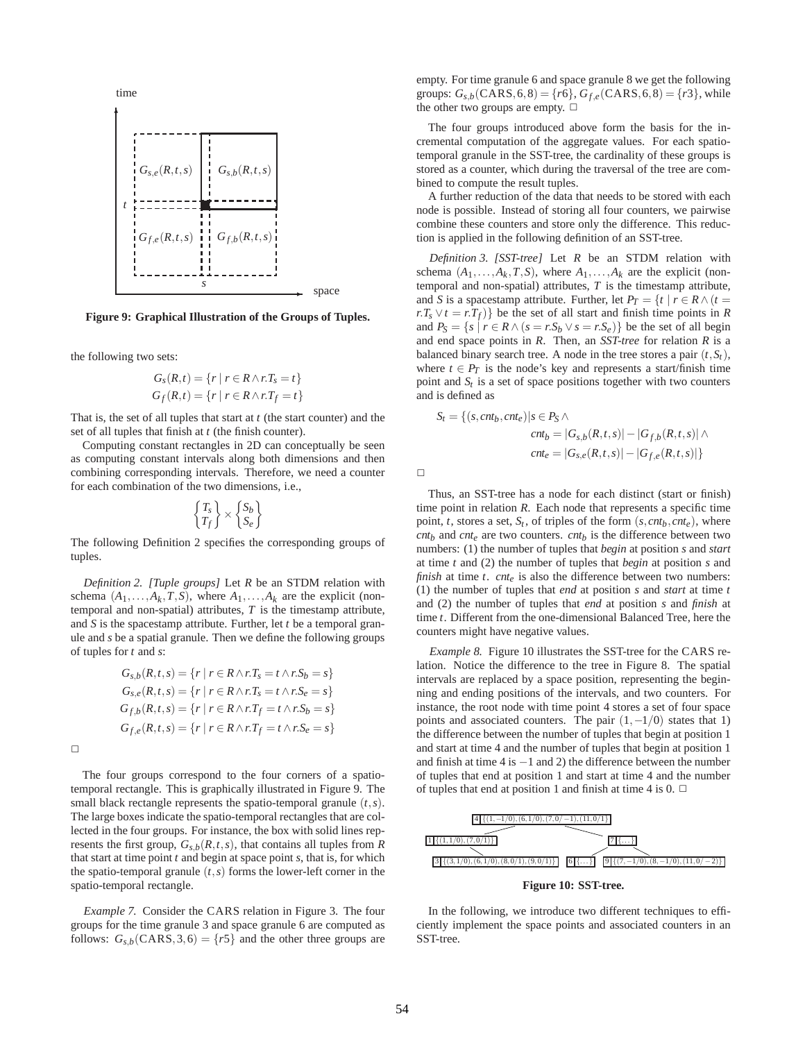

**Figure 9: Graphical Illustration of the Groups of Tuples.**

the following two sets:

$$
Gs(R,t) = \{r \mid r \in R \land r.Ts = t\}
$$
  

$$
Gf(R,t) = \{r \mid r \in R \land r.Tf = t\}
$$

That is, the set of all tuples that start at *t* (the start counter) and the set of all tuples that finish at *t* (the finish counter).

Computing constant rectangles in 2D can conceptually be seen as computing constant intervals along both dimensions and then combining corresponding intervals. Therefore, we need a counter for each combination of the two dimensions, i.e.,

$$
\begin{Bmatrix} T_s \\ T_f \end{Bmatrix} \times \begin{Bmatrix} S_b \\ S_e \end{Bmatrix}
$$

The following Definition 2 specifies the corresponding groups of tuples.

*Definition 2. [Tuple groups]* Let *R* be an STDM relation with schema  $(A_1, \ldots, A_k, T, S)$ , where  $A_1, \ldots, A_k$  are the explicit (nontemporal and non-spatial) attributes, *T* is the timestamp attribute, and *S* is the spacestamp attribute. Further, let *t* be a temporal granule and *s* be a spatial granule. Then we define the following groups of tuples for *t* and *s*:

$$
G_{s,b}(R,t,s) = \{r \mid r \in R \land r.T_s = t \land r.S_b = s\}
$$
  
\n
$$
G_{s,e}(R,t,s) = \{r \mid r \in R \land r.T_s = t \land r.S_e = s\}
$$
  
\n
$$
G_{f,b}(R,t,s) = \{r \mid r \in R \land r.T_f = t \land r.S_b = s\}
$$
  
\n
$$
G_{f,e}(R,t,s) = \{r \mid r \in R \land r.T_f = t \land r.S_e = s\}
$$

 $\Box$ 

The four groups correspond to the four corners of a spatiotemporal rectangle. This is graphically illustrated in Figure 9. The small black rectangle represents the spatio-temporal granule (*t*,*s*). The large boxes indicate the spatio-temporal rectangles that are collected in the four groups. For instance, the box with solid lines represents the first group,  $G_{s,b}(R,t,s)$ , that contains all tuples from  $R$ that start at time point *t* and begin at space point *s*, that is, for which the spatio-temporal granule  $(t, s)$  forms the lower-left corner in the spatio-temporal rectangle.

*Example 7.* Consider the CARS relation in Figure 3. The four groups for the time granule 3 and space granule 6 are computed as follows:  $G_{s,b}(CARS,3,6) = \{r5\}$  and the other three groups are

empty. For time granule 6 and space granule 8 we get the following groups:  $G_{s,b}(CARS, 6, 8) = \{r6\}, G_{f,e}(CARS, 6, 8) = \{r3\}$ , while the other two groups are empty.  $\Box$ 

The four groups introduced above form the basis for the incremental computation of the aggregate values. For each spatiotemporal granule in the SST-tree, the cardinality of these groups is stored as a counter, which during the traversal of the tree are combined to compute the result tuples.

A further reduction of the data that needs to be stored with each node is possible. Instead of storing all four counters, we pairwise combine these counters and store only the difference. This reduction is applied in the following definition of an SST-tree.

*Definition 3. [SST-tree]* Let *R* be an STDM relation with schema  $(A_1, \ldots, A_k, T, S)$ , where  $A_1, \ldots, A_k$  are the explicit (nontemporal and non-spatial) attributes, *T* is the timestamp attribute, and *S* is a spacestamp attribute. Further, let  $P_T = \{t \mid r \in R \land (t =$  $r \cdot T_s \vee t = r \cdot T_f$ } be the set of all start and finish time points in *R* and  $P_S = \{s \mid r \in R \land (s = r.S_b \lor s = r.S_e)\}\$  be the set of all begin and end space points in *R*. Then, an *SST-tree* for relation *R* is a balanced binary search tree. A node in the tree stores a pair  $(t, S_t)$ , where  $t \in P_T$  is the node's key and represents a start/finish time point and  $S_t$  is a set of space positions together with two counters and is defined as

$$
S_t = \{ (s, cnt_b, cnt_e) | s \in P_S \land cnt_b = |G_{s,b}(R, t, s)| - |G_{f,b}(R, t, s)| \land cnt_e = |G_{s,e}(R, t, s)| - |G_{f,e}(R, t, s)| \}
$$

 $\Box$ 

Thus, an SST-tree has a node for each distinct (start or finish) time point in relation *R*. Each node that represents a specific time point, *t*, stores a set,  $S_t$ , of triples of the form  $(s, cnt_b, cnt_e)$ , where  $cnt<sub>b</sub>$  and  $cnt<sub>e</sub>$  are two counters.  $cnt<sub>b</sub>$  is the difference between two numbers: (1) the number of tuples that *begin* at position *s* and *start* at time *t* and (2) the number of tuples that *begin* at position *s* and *finish* at time *t*. *cnt<sub>e</sub>* is also the difference between two numbers: (1) the number of tuples that *end* at position *s* and *start* at time *t* and (2) the number of tuples that *end* at position *s* and *finish* at time *t*. Different from the one-dimensional Balanced Tree, here the counters might have negative values.

*Example 8.* Figure 10 illustrates the SST-tree for the CARS relation. Notice the difference to the tree in Figure 8. The spatial intervals are replaced by a space position, representing the beginning and ending positions of the intervals, and two counters. For instance, the root node with time point 4 stores a set of four space points and associated counters. The pair  $(1, -1/0)$  states that 1) the difference between the number of tuples that begin at position 1 and start at time 4 and the number of tuples that begin at position 1 and finish at time 4 is  $-1$  and 2) the difference between the number of tuples that end at position 1 and start at time 4 and the number of tuples that end at position 1 and finish at time 4 is 0.  $\Box$ 



In the following, we introduce two different techniques to efficiently implement the space points and associated counters in an SST-tree.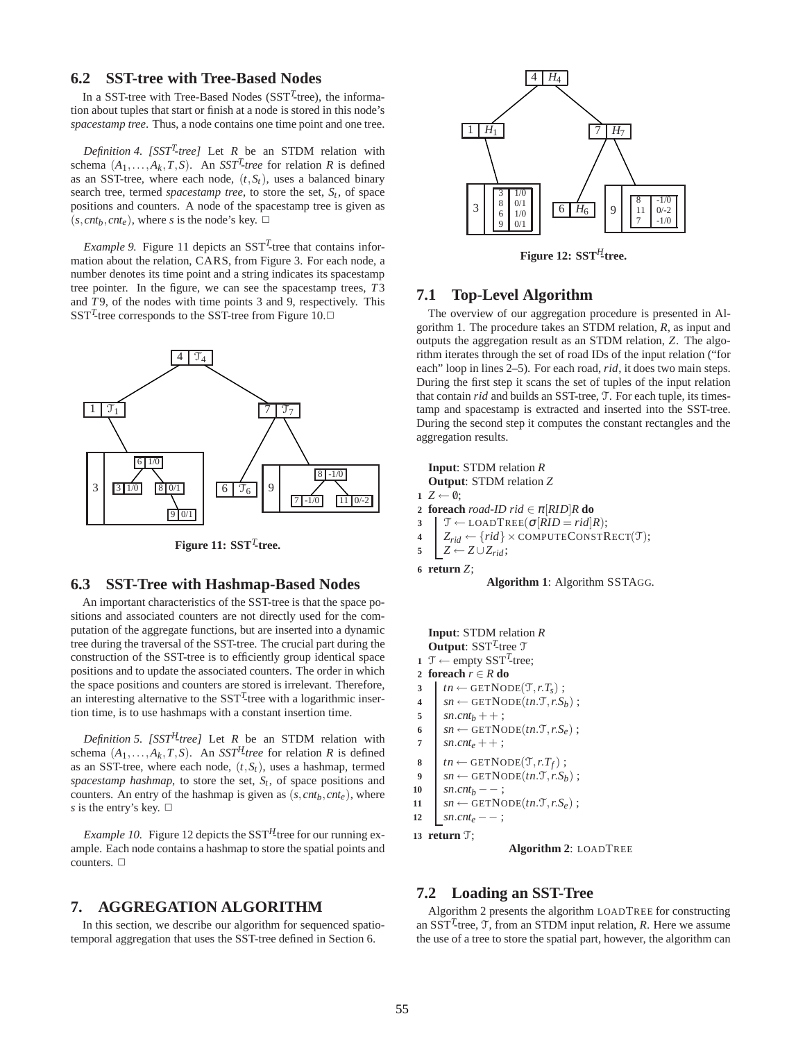# **6.2 SST-tree with Tree-Based Nodes**

In a SST-tree with Tree-Based Nodes (SST*<sup>T</sup>* -tree), the information about tuples that start or finish at a node is stored in this node's *spacestamp tree*. Thus, a node contains one time point and one tree.

*Definition 4. [SST<sup>T</sup> -tree]* Let *R* be an STDM relation with schema  $(A_1, \ldots, A_k, T, S)$ . An *SST<sup>T</sup>-tree* for relation *R* is defined as an SST-tree, where each node,  $(t, S_t)$ , uses a balanced binary search tree, termed *spacestamp tree*, to store the set, *St* , of space positions and counters. A node of the spacestamp tree is given as  $(s, cnt<sub>b</sub>, cnt<sub>e</sub>)$ , where *s* is the node's key.  $\Box$ 

*Example 9.* Figure 11 depicts an  $SST<sup>T</sup>$ -tree that contains information about the relation, CARS, from Figure 3. For each node, a number denotes its time point and a string indicates its spacestamp tree pointer. In the figure, we can see the spacestamp trees, *T*3 and *T* 9, of the nodes with time points 3 and 9, respectively. This SST<sup>T</sup>-tree corresponds to the SST-tree from Figure 10. $\Box$ 



**Figure 11: SST***<sup>T</sup>* **-tree.**

# **6.3 SST-Tree with Hashmap-Based Nodes**

An important characteristics of the SST-tree is that the space positions and associated counters are not directly used for the computation of the aggregate functions, but are inserted into a dynamic tree during the traversal of the SST-tree. The crucial part during the construction of the SST-tree is to efficiently group identical space positions and to update the associated counters. The order in which the space positions and counters are stored is irrelevant. Therefore, an interesting alternative to the  $SST<sup>T</sup>$ -tree with a logarithmic insertion time, is to use hashmaps with a constant insertion time.

*Definition 5. [SST<sup>H</sup>-tree]* Let *R* be an STDM relation with schema  $(A_1, \ldots, A_k, T, S)$ . An *SST<sup>H</sup>*-tree for relation *R* is defined as an SST-tree, where each node,  $(t, S_t)$ , uses a hashmap, termed *spacestamp hashmap*, to store the set, *St* , of space positions and counters. An entry of the hashmap is given as  $(s, cnt_b, cnt_e)$ , where *s* is the entry's key.  $\Box$ 

*Example 10.* Figure 12 depicts the SST*H*-tree for our running example. Each node contains a hashmap to store the spatial points and counters.  $\square$ 

# **7. AGGREGATION ALGORITHM**

In this section, we describe our algorithm for sequenced spatiotemporal aggregation that uses the SST-tree defined in Section 6.



**Figure 12: SST***H***-tree.**

# **7.1 Top-Level Algorithm**

The overview of our aggregation procedure is presented in Algorithm 1. The procedure takes an STDM relation, *R*, as input and outputs the aggregation result as an STDM relation, *Z*. The algorithm iterates through the set of road IDs of the input relation ("for each" loop in lines 2–5). For each road, *rid*, it does two main steps. During the first step it scans the set of tuples of the input relation that contain *rid* and builds an SST-tree, T. For each tuple, its timestamp and spacestamp is extracted and inserted into the SST-tree. During the second step it computes the constant rectangles and the aggregation results.

```
Input: STDM relation R
   Output: STDM relation Z
1 Z ← \emptyset;
2 foreach road-ID rid \in \pi[RID]R do
3 \mathcal{T} \leftarrow \text{LOADTREE}(\sigma | RID = rid | R);4 \begin{bmatrix} Z_{rid} \leftarrow \{rid\} \times \text{COMPUTECONSTRECT}(\mathcal{T});\\ Z \leftarrow Z \cup Z_{rid}; \end{bmatrix}Z ← Z ∪ Z_{rid};
6 return Z;
                   Algorithm 1: Algorithm SSTAGG.
   Input: STDM relation R
   Output: SSTT
-tree T
```

```
1 \text{ } \mathcal{T} \leftarrow \text{empty } SST^{T}-tree;
2 foreach r ∈ R do
```
- $3$  *tn* ← GETNODE( $\mathcal{T}, r.T_s$ );
- 
- $\begin{aligned} \n\mathbf{A} & = \text{Sat} \text{Sat} \\ \n\text{Sat} & = \text{Sat} \text{Sat} \\ \n\text{Sat} & = \text{Sat} \text{Sat} \\ \n\mathbf{Bat} & = \text{Sat} \text{Sat} \\ \n\mathbf{Cat} & = \text{Sat} \text{Sat} \\ \n\mathbf{Dat} & = \text{Sat} \text{Sat} \\ \n\mathbf{Dat} & = \text{Sat} \text{Sat} \\ \n\mathbf{Dat} & = \text{Sat} \text{Sat} \\ \n\mathbf{Dat} &$  $sn.cnt_b + +$ ;
- 
- 6  $sn \leftarrow \text{GETNODE}(tn.T, r.S_e);$ <br> *sn cnt*<sub>c</sub> + + ·  $sn.$ *cnt*<sub>*e*</sub> + + ;
- 
- **8**  $tn \leftarrow \text{GETNODE}(\mathcal{T}, r.T_f);$
- 9  $sn \leftarrow \text{GETNode}(tn.\mathcal{T}, r.S_b);$
- 10  $sn.cnt_b$  − − ;
- $11$  *sn* ← GETNODE(*tn*.T,*r*.S<sub>*e*</sub>);
- 12  $sn.cnt_e$  − ;

**13 return** T;

**Algorithm 2**: LOADTREE

## **7.2 Loading an SST-Tree**

Algorithm 2 presents the algorithm LOADTREE for constructing an  $SST<sup>T</sup>$ -tree,  $T$ , from an STDM input relation, *R*. Here we assume the use of a tree to store the spatial part, however, the algorithm can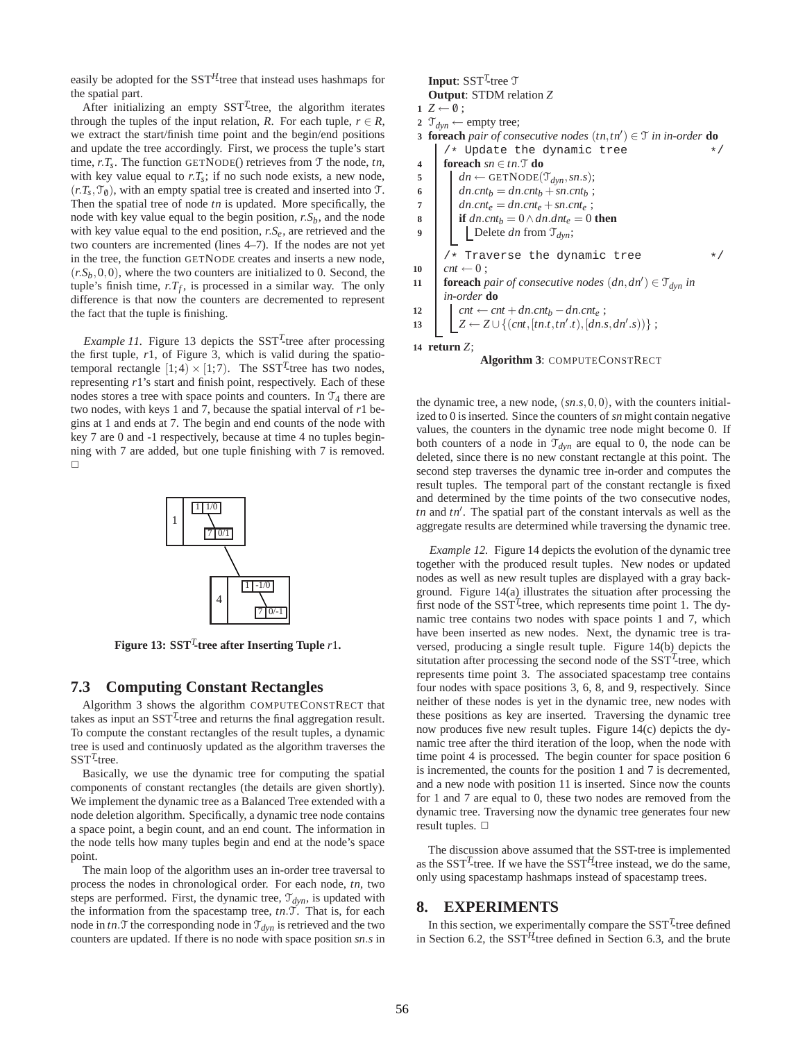easily be adopted for the  $SST<sup>H</sup>$ -tree that instead uses hashmaps for the spatial part.

After initializing an empty  $SST<sup>T</sup>$ -tree, the algorithm iterates through the tuples of the input relation, *R*. For each tuple,  $r \in R$ , we extract the start/finish time point and the begin/end positions and update the tree accordingly. First, we process the tuple's start time,  $r.T_s$ . The function GETNODE() retrieves from  $\mathcal T$  the node,  $tn$ , with key value equal to  $rT_s$ ; if no such node exists, a new node,  $(r.T<sub>s</sub>, T<sub>0</sub>)$ , with an empty spatial tree is created and inserted into T. Then the spatial tree of node *tn* is updated. More specifically, the node with key value equal to the begin position, *r*.*Sb*, and the node with key value equal to the end position, *r*.*Se*, are retrieved and the two counters are incremented (lines 4–7). If the nodes are not yet in the tree, the function GETNODE creates and inserts a new node,  $(r.S_b, 0, 0)$ , where the two counters are initialized to 0. Second, the tuple's finish time,  $r.T_f$ , is processed in a similar way. The only difference is that now the counters are decremented to represent the fact that the tuple is finishing.

*Example 11*. Figure 13 depicts the  $SST<sup>T</sup>$ -tree after processing the first tuple, *r*1, of Figure 3, which is valid during the spatiotemporal rectangle  $[1;4) \times [1;7)$ . The SST<sup>T</sup>-tree has two nodes, representing *r*1's start and finish point, respectively. Each of these nodes stores a tree with space points and counters. In  $\mathcal{T}_4$  there are two nodes, with keys 1 and 7, because the spatial interval of *r*1 begins at 1 and ends at 7. The begin and end counts of the node with key 7 are 0 and -1 respectively, because at time 4 no tuples beginning with 7 are added, but one tuple finishing with 7 is removed.  $\Box$ 



**Figure 13: SST***<sup>T</sup>* **-tree after Inserting Tuple** *r*1**.**

## **7.3 Computing Constant Rectangles**

Algorithm 3 shows the algorithm COMPUTECONSTRECT that takes as input an SST*<sup>T</sup>* -tree and returns the final aggregation result. To compute the constant rectangles of the result tuples, a dynamic tree is used and continuosly updated as the algorithm traverses the  $SST<sup>T</sup>$ -tree.

Basically, we use the dynamic tree for computing the spatial components of constant rectangles (the details are given shortly). We implement the dynamic tree as a Balanced Tree extended with a node deletion algorithm. Specifically, a dynamic tree node contains a space point, a begin count, and an end count. The information in the node tells how many tuples begin and end at the node's space point.

The main loop of the algorithm uses an in-order tree traversal to process the nodes in chronological order. For each node, *tn*, two steps are performed. First, the dynamic tree,  $\mathcal{T}_{dyn}$ , is updated with the information from the spacestamp tree, *tn*.T. That is, for each node in  $tn.\mathcal{T}$  the corresponding node in  $\mathcal{T}_{dyn}$  is retrieved and the two counters are updated. If there is no node with space position *sn*.*s* in

## Input: SST<sup>T</sup>-tree T **Output**: STDM relation *Z*  $1 Z \leftarrow \emptyset$ : **2**  $\mathcal{T}_{dyn} \leftarrow$  empty tree; *foreach pair of consecutive nodes*  $(tn, tn') \in T$  *in in-order* **do**  $/*$  Update the dynamic tree **4 foreach**  $sn \in tn$ . **do 5** *dn* ← GETNODE( $\mathcal{T}_{dyn}, sn.s$ ); 6 *dn.cnt*<sub>*b*</sub> = *dn.cnt*<sub>*b*</sub> + *sn.cnt*<sub>*b*</sub> ; **7** *dn.cnt<sub>e</sub>* = *dn.cnt<sub>e</sub>* + *sn.cnt<sub>e</sub>* ; **8 if**  $dn{\cdot}cnt_b = 0 \wedge dn{\cdot}dnt_e = 0$  **then 9 b** Delete *dn* from  $\mathcal{T}_{dyn}$ ; /\* Traverse the dynamic tree  $*$ /  $10$  *cnt*  $\leftarrow 0$ ;

**foreach** *pair of consecutive nodes*  $(dn, dn') \in \mathcal{T}_{dyn}$  *in in-order* **do**

**12**  $\vert$  *cnt* ← *cnt* + *dn*.*cnt<sub>b</sub>* − *dn*.*cnt<sub>e</sub>* ;

13 
$$
Z \leftarrow Z \cup \{(cnt, [tn.t, tn'.t), [dn.s, dn'.s))\};
$$

**14 return** *Z*;



the dynamic tree, a new node, (*sn*.*s*,0,0), with the counters initialized to 0 is inserted. Since the counters of *sn* might contain negative values, the counters in the dynamic tree node might become 0. If both counters of a node in  $\mathcal{T}_{dyn}$  are equal to 0, the node can be deleted, since there is no new constant rectangle at this point. The second step traverses the dynamic tree in-order and computes the result tuples. The temporal part of the constant rectangle is fixed and determined by the time points of the two consecutive nodes, *tn* and *tn*′ . The spatial part of the constant intervals as well as the aggregate results are determined while traversing the dynamic tree.

*Example 12.* Figure 14 depicts the evolution of the dynamic tree together with the produced result tuples. New nodes or updated nodes as well as new result tuples are displayed with a gray background. Figure 14(a) illustrates the situation after processing the first node of the  $SST<sup>T</sup>$ -tree, which represents time point 1. The dynamic tree contains two nodes with space points 1 and 7, which have been inserted as new nodes. Next, the dynamic tree is traversed, producing a single result tuple. Figure 14(b) depicts the situtation after processing the second node of the SST<sup>T</sup>-tree, which represents time point 3. The associated spacestamp tree contains four nodes with space positions 3, 6, 8, and 9, respectively. Since neither of these nodes is yet in the dynamic tree, new nodes with these positions as key are inserted. Traversing the dynamic tree now produces five new result tuples. Figure 14(c) depicts the dynamic tree after the third iteration of the loop, when the node with time point 4 is processed. The begin counter for space position 6 is incremented, the counts for the position 1 and 7 is decremented, and a new node with position 11 is inserted. Since now the counts for 1 and 7 are equal to 0, these two nodes are removed from the dynamic tree. Traversing now the dynamic tree generates four new result tuples.  $\Box$ 

The discussion above assumed that the SST-tree is implemented as the  $SST<sup>T</sup>$ -tree. If we have the  $SST<sup>H</sup>$ -tree instead, we do the same, only using spacestamp hashmaps instead of spacestamp trees.

## **8. EXPERIMENTS**

In this section, we experimentally compare the  $SST<sup>T</sup>$ -tree defined in Section 6.2, the SST*H*-tree defined in Section 6.3, and the brute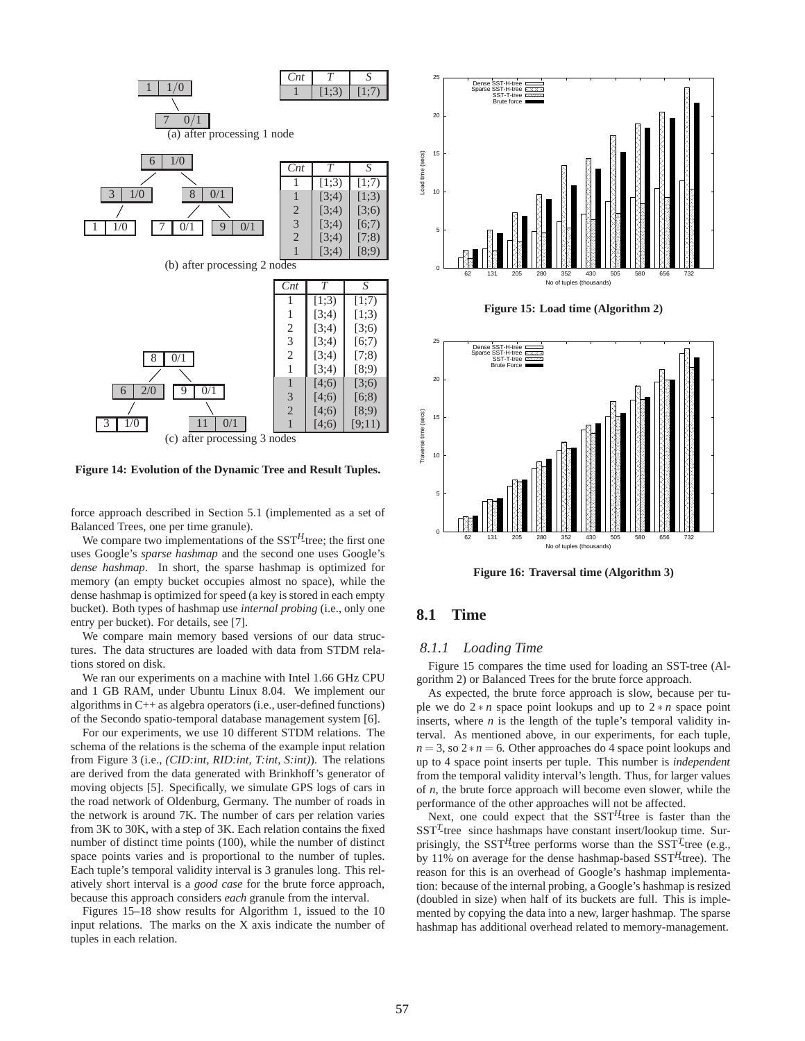

**Figure 14: Evolution of the Dynamic Tree and Result Tuples.**

force approach described in Section 5.1 (implemented as a set of Balanced Trees, one per time granule).

We compare two implementations of the SST<sup>H</sup>-tree; the first one uses Google's *sparse hashmap* and the second one uses Google's *dense hashmap*. In short, the sparse hashmap is optimized for memory (an empty bucket occupies almost no space), while the dense hashmap is optimized for speed (a key is stored in each empty bucket). Both types of hashmap use *internal probing* (i.e., only one entry per bucket). For details, see [7].

We compare main memory based versions of our data structures. The data structures are loaded with data from STDM relations stored on disk.

We ran our experiments on a machine with Intel 1.66 GHz CPU and 1 GB RAM, under Ubuntu Linux 8.04. We implement our algorithms in C++ as algebra operators (i.e., user-defined functions) of the Secondo spatio-temporal database management system [6].

For our experiments, we use 10 different STDM relations. The schema of the relations is the schema of the example input relation from Figure 3 (i.e., *(CID:int, RID:int, T:int, S:int)*). The relations are derived from the data generated with Brinkhoff's generator of moving objects [5]. Specifically, we simulate GPS logs of cars in the road network of Oldenburg, Germany. The number of roads in the network is around 7K. The number of cars per relation varies from 3K to 30K, with a step of 3K. Each relation contains the fixed number of distinct time points (100), while the number of distinct space points varies and is proportional to the number of tuples. Each tuple's temporal validity interval is 3 granules long. This relatively short interval is a *good case* for the brute force approach, because this approach considers *each* granule from the interval.

Figures 15–18 show results for Algorithm 1, issued to the 10 input relations. The marks on the X axis indicate the number of tuples in each relation.



**Figure 15: Load time (Algorithm 2)**



**Figure 16: Traversal time (Algorithm 3)**

# **8.1 Time**

#### *8.1.1 Loading Time*

Figure 15 compares the time used for loading an SST-tree (Algorithm 2) or Balanced Trees for the brute force approach.

As expected, the brute force approach is slow, because per tuple we do 2 ∗ *n* space point lookups and up to 2 ∗ *n* space point inserts, where *n* is the length of the tuple's temporal validity interval. As mentioned above, in our experiments, for each tuple,  $n = 3$ , so  $2 * n = 6$ . Other approaches do 4 space point lookups and up to 4 space point inserts per tuple. This number is *independent* from the temporal validity interval's length. Thus, for larger values of *n*, the brute force approach will become even slower, while the performance of the other approaches will not be affected.

Next, one could expect that the SST<sup>H</sup>-tree is faster than the SST<sup>T</sup>-tree since hashmaps have constant insert/lookup time. Surprisingly, the  $SST<sup>H</sup>$ -tree performs worse than the  $SST<sup>T</sup>$ -tree (e.g., by 11% on average for the dense hashmap-based SST*H*-tree). The reason for this is an overhead of Google's hashmap implementation: because of the internal probing, a Google's hashmap is resized (doubled in size) when half of its buckets are full. This is implemented by copying the data into a new, larger hashmap. The sparse hashmap has additional overhead related to memory-management.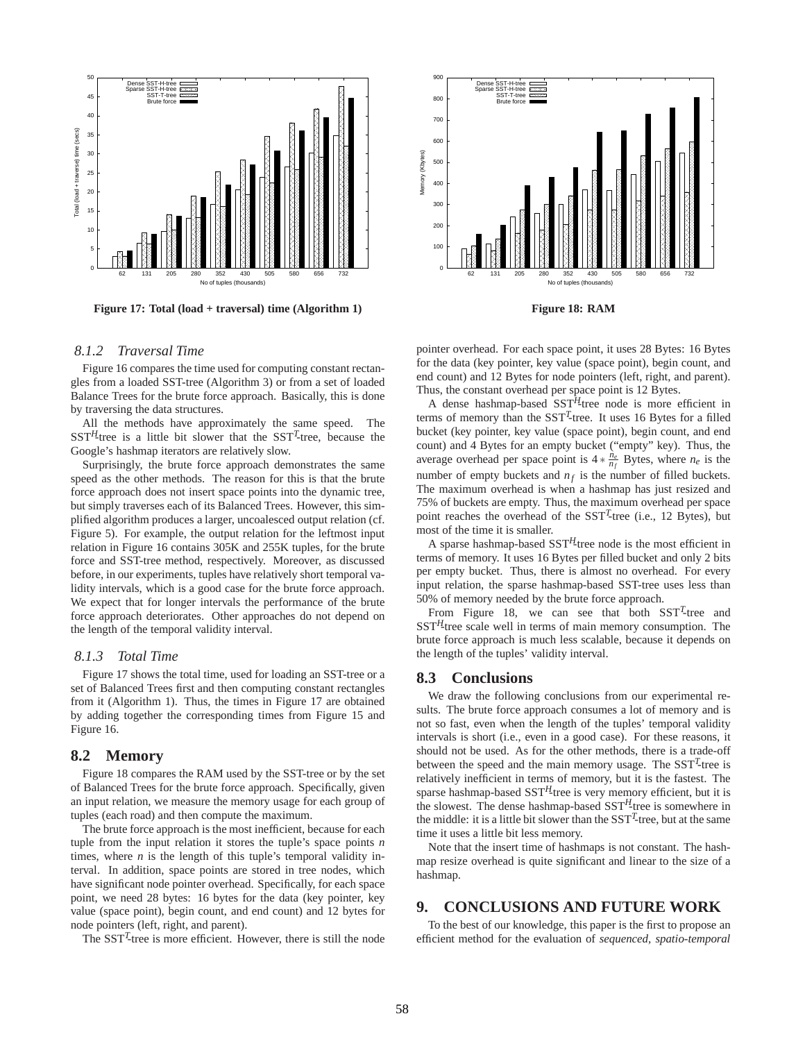

**Figure 17: Total (load + traversal) time (Algorithm 1)**

#### *8.1.2 Traversal Time*

Figure 16 compares the time used for computing constant rectangles from a loaded SST-tree (Algorithm 3) or from a set of loaded Balance Trees for the brute force approach. Basically, this is done by traversing the data structures.

All the methods have approximately the same speed. The SST*H*-tree is a little bit slower that the SST*<sup>T</sup>* -tree, because the Google's hashmap iterators are relatively slow.

Surprisingly, the brute force approach demonstrates the same speed as the other methods. The reason for this is that the brute force approach does not insert space points into the dynamic tree, but simply traverses each of its Balanced Trees. However, this simplified algorithm produces a larger, uncoalesced output relation (cf. Figure 5). For example, the output relation for the leftmost input relation in Figure 16 contains 305K and 255K tuples, for the brute force and SST-tree method, respectively. Moreover, as discussed before, in our experiments, tuples have relatively short temporal validity intervals, which is a good case for the brute force approach. We expect that for longer intervals the performance of the brute force approach deteriorates. Other approaches do not depend on the length of the temporal validity interval.

#### *8.1.3 Total Time*

Figure 17 shows the total time, used for loading an SST-tree or a set of Balanced Trees first and then computing constant rectangles from it (Algorithm 1). Thus, the times in Figure 17 are obtained by adding together the corresponding times from Figure 15 and Figure 16.

## **8.2 Memory**

Figure 18 compares the RAM used by the SST-tree or by the set of Balanced Trees for the brute force approach. Specifically, given an input relation, we measure the memory usage for each group of tuples (each road) and then compute the maximum.

The brute force approach is the most inefficient, because for each tuple from the input relation it stores the tuple's space points *n* times, where  $n$  is the length of this tuple's temporal validity interval. In addition, space points are stored in tree nodes, which have significant node pointer overhead. Specifically, for each space point, we need 28 bytes: 16 bytes for the data (key pointer, key value (space point), begin count, and end count) and 12 bytes for node pointers (left, right, and parent).

The SST<sup>T</sup>-tree is more efficient. However, there is still the node



pointer overhead. For each space point, it uses 28 Bytes: 16 Bytes for the data (key pointer, key value (space point), begin count, and end count) and 12 Bytes for node pointers (left, right, and parent). Thus, the constant overhead per space point is 12 Bytes.

A dense hashmap-based SST*H*-tree node is more efficient in terms of memory than the SST*<sup>T</sup>* -tree. It uses 16 Bytes for a filled bucket (key pointer, key value (space point), begin count, and end count) and 4 Bytes for an empty bucket ("empty" key). Thus, the average overhead per space point is  $4 * \frac{n_e}{n_f}$  Bytes, where  $n_e$  is the number of empty buckets and  $n_f$  is the number of filled buckets. The maximum overhead is when a hashmap has just resized and 75% of buckets are empty. Thus, the maximum overhead per space point reaches the overhead of the SST<sup>T</sup>-tree (i.e., 12 Bytes), but most of the time it is smaller.

A sparse hashmap-based SST*H*-tree node is the most efficient in terms of memory. It uses 16 Bytes per filled bucket and only 2 bits per empty bucket. Thus, there is almost no overhead. For every input relation, the sparse hashmap-based SST-tree uses less than 50% of memory needed by the brute force approach.

From Figure 18, we can see that both  $SST<sup>T</sup>$ -tree and SST*H*-tree scale well in terms of main memory consumption. The brute force approach is much less scalable, because it depends on the length of the tuples' validity interval.

## **8.3 Conclusions**

We draw the following conclusions from our experimental results. The brute force approach consumes a lot of memory and is not so fast, even when the length of the tuples' temporal validity intervals is short (i.e., even in a good case). For these reasons, it should not be used. As for the other methods, there is a trade-off between the speed and the main memory usage. The SST<sup>T</sup>-tree is relatively inefficient in terms of memory, but it is the fastest. The sparse hashmap-based SST<sup>H</sup>-tree is very memory efficient, but it is the slowest. The dense hashmap-based SST*H*-tree is somewhere in the middle: it is a little bit slower than the  $SST<sup>T</sup>$ -tree, but at the same time it uses a little bit less memory.

Note that the insert time of hashmaps is not constant. The hashmap resize overhead is quite significant and linear to the size of a hashmap.

## **9. CONCLUSIONS AND FUTURE WORK**

To the best of our knowledge, this paper is the first to propose an efficient method for the evaluation of *sequenced, spatio-temporal*